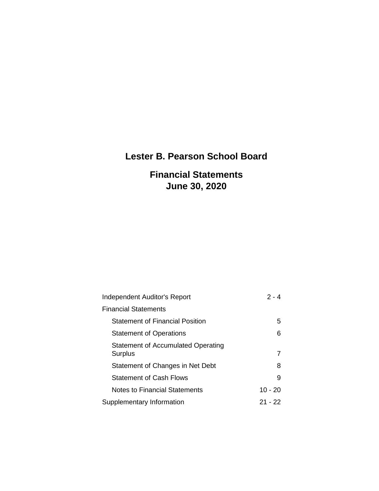# **Lester B. Pearson School Board**

# **Financial Statements June 30, 2020**

| Independent Auditor's Report                  | $2 - 4$   |
|-----------------------------------------------|-----------|
| <b>Financial Statements</b>                   |           |
| <b>Statement of Financial Position</b>        | 5         |
| <b>Statement of Operations</b>                | 6         |
| Statement of Accumulated Operating<br>Surplus |           |
| Statement of Changes in Net Debt              | 8         |
| <b>Statement of Cash Flows</b>                | 9         |
| <b>Notes to Financial Statements</b>          | $10 - 20$ |
| Supplementary Information                     | 21 - 22   |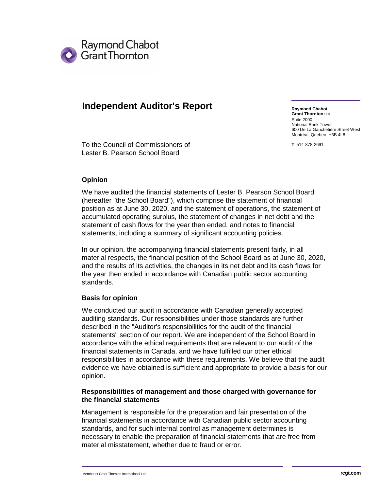

# **Independent Auditor's Report**

**Raymond Chabot Grant Thornton LLP** Suite 2000 National Bank Tower 600 De La Gauchetière Street West Montréal, Quebec H3B 4L8

**T** 514-878-2691

To the Council of Commissioners of Lester B. Pearson School Board

#### **Opinion**

We have audited the financial statements of Lester B. Pearson School Board (hereafter "the School Board"), which comprise the statement of financial position as at June 30, 2020, and the statement of operations, the statement of accumulated operating surplus, the statement of changes in net debt and the statement of cash flows for the year then ended, and notes to financial statements, including a summary of significant accounting policies.

In our opinion, the accompanying financial statements present fairly, in all material respects, the financial position of the School Board as at June 30, 2020, and the results of its activities, the changes in its net debt and its cash flows for the year then ended in accordance with Canadian public sector accounting standards.

#### **Basis for opinion**

We conducted our audit in accordance with Canadian generally accepted auditing standards. Our responsibilities under those standards are further described in the "Auditor's responsibilities for the audit of the financial statements" section of our report. We are independent of the School Board in accordance with the ethical requirements that are relevant to our audit of the financial statements in Canada, and we have fulfilled our other ethical responsibilities in accordance with these requirements. We believe that the audit evidence we have obtained is sufficient and appropriate to provide a basis for our opinion.

### **Responsibilities of management and those charged with governance for the financial statements**

Management is responsible for the preparation and fair presentation of the financial statements in accordance with Canadian public sector accounting standards, and for such internal control as management determines is necessary to enable the preparation of financial statements that are free from material misstatement, whether due to fraud or error.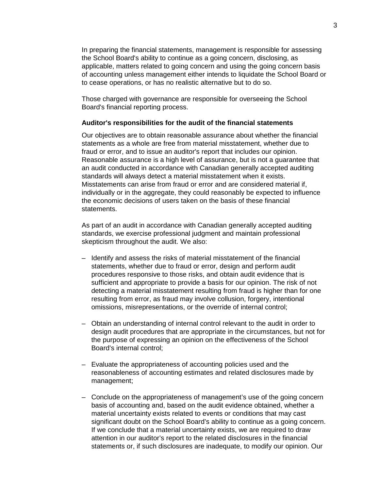In preparing the financial statements, management is responsible for assessing the School Board's ability to continue as a going concern, disclosing, as applicable, matters related to going concern and using the going concern basis of accounting unless management either intends to liquidate the School Board or to cease operations, or has no realistic alternative but to do so.

Those charged with governance are responsible for overseeing the School Board's financial reporting process.

#### **Auditor's responsibilities for the audit of the financial statements**

Our objectives are to obtain reasonable assurance about whether the financial statements as a whole are free from material misstatement, whether due to fraud or error, and to issue an auditor's report that includes our opinion. Reasonable assurance is a high level of assurance, but is not a guarantee that an audit conducted in accordance with Canadian generally accepted auditing standards will always detect a material misstatement when it exists. Misstatements can arise from fraud or error and are considered material if, individually or in the aggregate, they could reasonably be expected to influence the economic decisions of users taken on the basis of these financial statements.

As part of an audit in accordance with Canadian generally accepted auditing standards, we exercise professional judgment and maintain professional skepticism throughout the audit. We also:

- Identify and assess the risks of material misstatement of the financial statements, whether due to fraud or error, design and perform audit procedures responsive to those risks, and obtain audit evidence that is sufficient and appropriate to provide a basis for our opinion. The risk of not detecting a material misstatement resulting from fraud is higher than for one resulting from error, as fraud may involve collusion, forgery, intentional omissions, misrepresentations, or the override of internal control;
- Obtain an understanding of internal control relevant to the audit in order to design audit procedures that are appropriate in the circumstances, but not for the purpose of expressing an opinion on the effectiveness of the School Board's internal control;
- Evaluate the appropriateness of accounting policies used and the reasonableness of accounting estimates and related disclosures made by management;
- Conclude on the appropriateness of management's use of the going concern basis of accounting and, based on the audit evidence obtained, whether a material uncertainty exists related to events or conditions that may cast significant doubt on the School Board's ability to continue as a going concern. If we conclude that a material uncertainty exists, we are required to draw attention in our auditor's report to the related disclosures in the financial statements or, if such disclosures are inadequate, to modify our opinion. Our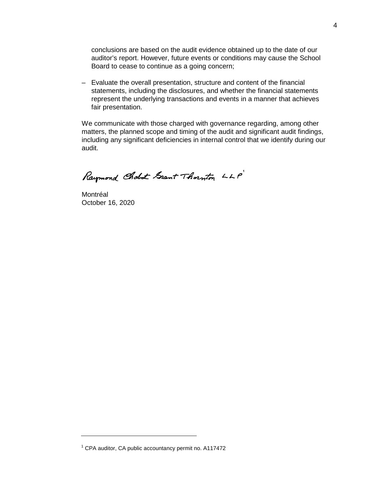conclusions are based on the audit evidence obtained up to the date of our auditor's report. However, future events or conditions may cause the School Board to cease to continue as a going concern;

– Evaluate the overall presentation, structure and content of the financial statements, including the disclosures, and whether the financial statements represent the underlying transactions and events in a manner that achieves fair presentation.

We communicate with those charged with governance regarding, among other matters, the planned scope and timing of the audit and significant audit findings, including any significant deficiencies in internal control that we identify during our audit.

Raymond Cholot Grant Thornton LLP

Montréal October 16, 2020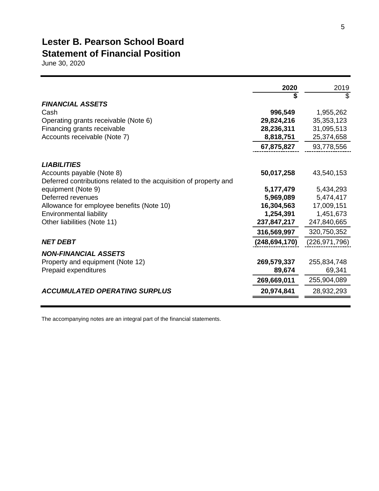# **Lester B. Pearson School Board Statement of Financial Position**

June 30, 2020

|                                                                   | 2020            | 2019            |
|-------------------------------------------------------------------|-----------------|-----------------|
|                                                                   | S               | \$              |
| <b>FINANCIAL ASSETS</b>                                           |                 |                 |
| Cash                                                              | 996,549         | 1,955,262       |
| Operating grants receivable (Note 6)                              | 29,824,216      | 35, 353, 123    |
| Financing grants receivable                                       | 28,236,311      | 31,095,513      |
| Accounts receivable (Note 7)                                      | 8,818,751       | 25,374,658      |
|                                                                   | 67,875,827      | 93,778,556      |
| <b>LIABILITIES</b>                                                |                 |                 |
| Accounts payable (Note 8)                                         | 50,017,258      | 43,540,153      |
| Deferred contributions related to the acquisition of property and |                 |                 |
| equipment (Note 9)                                                | 5,177,479       | 5,434,293       |
| Deferred revenues                                                 | 5,969,089       | 5,474,417       |
| Allowance for employee benefits (Note 10)                         | 16,304,563      | 17,009,151      |
| Environmental liability                                           | 1,254,391       | 1,451,673       |
| Other liabilities (Note 11)                                       | 237,847,217     | 247,840,665     |
|                                                                   | 316,569,997     | 320,750,352     |
| <b>NET DEBT</b>                                                   | (248, 694, 170) | (226, 971, 796) |
| <b>NON-FINANCIAL ASSETS</b>                                       |                 |                 |
| Property and equipment (Note 12)                                  | 269,579,337     | 255,834,748     |
| Prepaid expenditures                                              | 89,674          | 69,341          |
|                                                                   | 269,669,011     | 255,904,089     |
| <b>ACCUMULATED OPERATING SURPLUS</b>                              | 20,974,841      | 28,932,293      |
|                                                                   |                 |                 |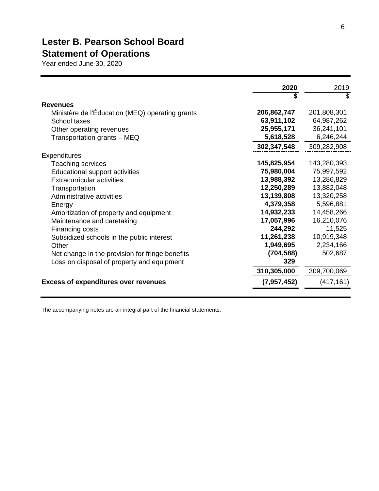# **Lester B. Pearson School Board Statement of Operations**

Year ended June 30, 2020

|                                                 | 2020          | 2019        |
|-------------------------------------------------|---------------|-------------|
|                                                 |               | S           |
| <b>Revenues</b>                                 |               |             |
| Ministère de l'Éducation (MEQ) operating grants | 206,862,747   | 201,808,301 |
| School taxes                                    | 63,911,102    | 64,987,262  |
| Other operating revenues                        | 25,955,171    | 36,241,101  |
| Transportation grants – MEQ                     | 5,618,528     | 6,246,244   |
|                                                 | 302,347,548   | 309,282,908 |
| <b>Expenditures</b>                             |               |             |
| Teaching services                               | 145,825,954   | 143,280,393 |
| Educational support activities                  | 75,980,004    | 75,997,592  |
| <b>Extracurricular activities</b>               | 13,988,392    | 13,286,829  |
| Transportation                                  | 12,250,289    | 13,882,048  |
| Administrative activities                       | 13,139,808    | 13,320,258  |
| Energy                                          | 4,379,358     | 5,596,881   |
| Amortization of property and equipment          | 14,932,233    | 14,458,266  |
| Maintenance and caretaking                      | 17,057,996    | 16,210,076  |
| Financing costs                                 | 244,292       | 11,525      |
| Subsidized schools in the public interest       | 11,261,238    | 10,919,348  |
| Other                                           | 1,949,695     | 2,234,166   |
| Net change in the provision for fringe benefits | (704, 588)    | 502,687     |
| Loss on disposal of property and equipment      | 329           |             |
|                                                 |               | 309,700,069 |
|                                                 | 310,305,000   |             |
| <b>Excess of expenditures over revenues</b>     | (7, 957, 452) | (417, 161)  |
|                                                 |               |             |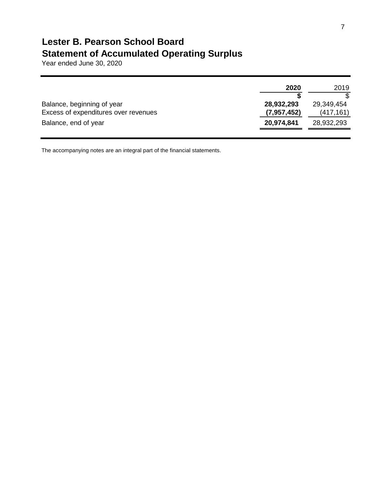# **Lester B. Pearson School Board Statement of Accumulated Operating Surplus**

Year ended June 30, 2020

|                                      | 2020          | 2019       |
|--------------------------------------|---------------|------------|
|                                      |               |            |
| Balance, beginning of year           | 28,932,293    | 29,349,454 |
| Excess of expenditures over revenues | (7, 957, 452) | (417, 161) |
| Balance, end of year                 | 20,974,841    | 28,932,293 |
|                                      |               |            |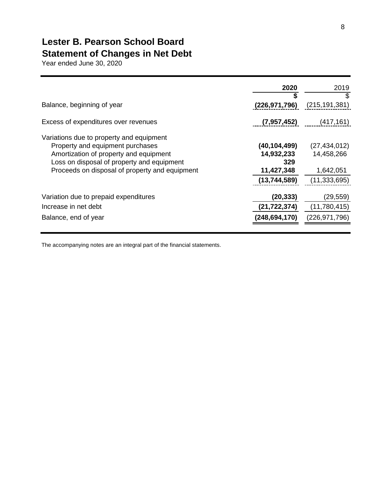# **Lester B. Pearson School Board Statement of Changes in Net Debt**

Year ended June 30, 2020

|                                                                                                                                                                                                                        | 2020                                                            | 2019<br>S                                                   |
|------------------------------------------------------------------------------------------------------------------------------------------------------------------------------------------------------------------------|-----------------------------------------------------------------|-------------------------------------------------------------|
| Balance, beginning of year                                                                                                                                                                                             | (226, 971, 796)                                                 | (215, 191, 381)                                             |
| Excess of expenditures over revenues                                                                                                                                                                                   | (7, 957, 452)                                                   | (417, 161)                                                  |
| Variations due to property and equipment<br>Property and equipment purchases<br>Amortization of property and equipment<br>Loss on disposal of property and equipment<br>Proceeds on disposal of property and equipment | (40,104,499)<br>14,932,233<br>329<br>11,427,348<br>(13,744,589) | (27, 434, 012)<br>14,458,266<br>1,642,051<br>(11, 333, 695) |
| Variation due to prepaid expenditures                                                                                                                                                                                  | (20, 333)                                                       | (29, 559)                                                   |
| Increase in net debt                                                                                                                                                                                                   | (21, 722, 374)                                                  | (11,780,415)                                                |
| Balance, end of year                                                                                                                                                                                                   | (248, 694, 170)                                                 | (226, 971, 796)                                             |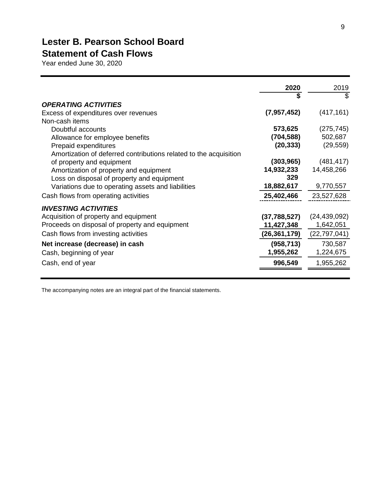# **Lester B. Pearson School Board**

# **Statement of Cash Flows**

Year ended June 30, 2020

|                                                                   | 2020           | 2019           |
|-------------------------------------------------------------------|----------------|----------------|
|                                                                   | \$             | S              |
| <b>OPERATING ACTIVITIES</b>                                       |                |                |
| Excess of expenditures over revenues                              | (7, 957, 452)  | (417, 161)     |
| Non-cash items                                                    |                |                |
| Doubtful accounts                                                 | 573,625        | (275, 745)     |
| Allowance for employee benefits                                   | (704, 588)     | 502,687        |
| Prepaid expenditures                                              | (20, 333)      | (29, 559)      |
| Amortization of deferred contributions related to the acquisition |                |                |
| of property and equipment                                         | (303, 965)     | (481, 417)     |
| Amortization of property and equipment                            | 14,932,233     | 14,458,266     |
| Loss on disposal of property and equipment                        | 329            |                |
| Variations due to operating assets and liabilities                | 18,882,617     | 9,770,557      |
| Cash flows from operating activities                              | 25,402,466     | 23,527,628     |
| <b>INVESTING ACTIVITIES</b>                                       |                |                |
| Acquisition of property and equipment                             | (37,788,527)   | (24, 439, 092) |
| Proceeds on disposal of property and equipment                    | 11,427,348     | 1,642,051      |
| Cash flows from investing activities                              | (26, 361, 179) | (22, 797, 041) |
| Net increase (decrease) in cash                                   | (958, 713)     | 730,587        |
| Cash, beginning of year                                           | 1,955,262      | 1,224,675      |
| Cash, end of year                                                 | 996,549        | 1,955,262      |
|                                                                   |                |                |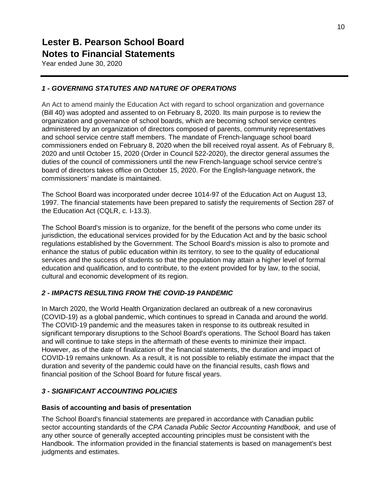Year ended June 30, 2020

# *1 - GOVERNING STATUTES AND NATURE OF OPERATIONS*

An Act to amend mainly the Education Act with regard to school organization and governance (Bill 40) was adopted and assented to on February 8, 2020. Its main purpose is to review the organization and governance of school boards, which are becoming school service centres administered by an organization of directors composed of parents, community representatives and school service centre staff members. The mandate of French-language school board commissioners ended on February 8, 2020 when the bill received royal assent. As of February 8, 2020 and until October 15, 2020 (Order in Council 522-2020), the director general assumes the duties of the council of commissioners until the new French-language school service centre's board of directors takes office on October 15, 2020. For the English-language network, the commissioners' mandate is maintained.

The School Board was incorporated under decree 1014-97 of the Education Act on August 13, 1997. The financial statements have been prepared to satisfy the requirements of Section 287 of the Education Act (CQLR, c. I‑13.3).

The School Board's mission is to organize, for the benefit of the persons who come under its jurisdiction, the educational services provided for by the Education Act and by the basic school regulations established by the Government. The School Board's mission is also to promote and enhance the status of public education within its territory, to see to the quality of educational services and the success of students so that the population may attain a higher level of formal education and qualification, and to contribute, to the extent provided for by law, to the social, cultural and economic development of its region.

# *2 - IMPACTS RESULTING FROM THE COVID-19 PANDEMIC*

In March 2020, the World Health Organization declared an outbreak of a new coronavirus (COVID-19) as a global pandemic, which continues to spread in Canada and around the world. The COVID-19 pandemic and the measures taken in response to its outbreak resulted in significant temporary disruptions to the School Board's operations. The School Board has taken and will continue to take steps in the aftermath of these events to minimize their impact. However, as of the date of finalization of the financial statements, the duration and impact of COVID-19 remains unknown. As a result, it is not possible to reliably estimate the impact that the duration and severity of the pandemic could have on the financial results, cash flows and financial position of the School Board for future fiscal years.

# *3 - SIGNIFICANT ACCOUNTING POLICIES*

# **Basis of accounting and basis of presentation**

The School Board's financial statements are prepared in accordance with Canadian public sector accounting standards of the *CPA Canada Public Sector Accounting Handbook,* and use of any other source of generally accepted accounting principles must be consistent with the Handbook. The information provided in the financial statements is based on management's best judgments and estimates.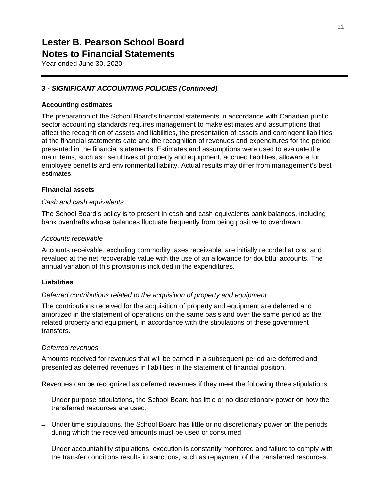Year ended June 30, 2020

## *3 - SIGNIFICANT ACCOUNTING POLICIES (Continued)*

### **Accounting estimates**

The preparation of the School Board's financial statements in accordance with Canadian public sector accounting standards requires management to make estimates and assumptions that affect the recognition of assets and liabilities, the presentation of assets and contingent liabilities at the financial statements date and the recognition of revenues and expenditures for the period presented in the financial statements. Estimates and assumptions were used to evaluate the main items, such as useful lives of property and equipment, accrued liabilities, allowance for employee benefits and environmental liability. Actual results may differ from management's best estimates.

### **Financial assets**

#### *Cash and cash equivalents*

The School Board's policy is to present in cash and cash equivalents bank balances, including bank overdrafts whose balances fluctuate frequently from being positive to overdrawn.

#### *Accounts receivable*

Accounts receivable, excluding commodity taxes receivable, are initially recorded at cost and revalued at the net recoverable value with the use of an allowance for doubtful accounts. The annual variation of this provision is included in the expenditures.

#### **Liabilities**

#### *Deferred contributions related to the acquisition of property and equipment*

The contributions received for the acquisition of property and equipment are deferred and amortized in the statement of operations on the same basis and over the same period as the related property and equipment, in accordance with the stipulations of these government transfers.

#### *Deferred revenues*

Amounts received for revenues that will be earned in a subsequent period are deferred and presented as deferred revenues in liabilities in the statement of financial position.

Revenues can be recognized as deferred revenues if they meet the following three stipulations:

- Under purpose stipulations, the School Board has little or no discretionary power on how the transferred resources are used;
- Under time stipulations, the School Board has little or no discretionary power on the periods during which the received amounts must be used or consumed;
- Under accountability stipulations, execution is constantly monitored and failure to comply with the transfer conditions results in sanctions, such as repayment of the transferred resources.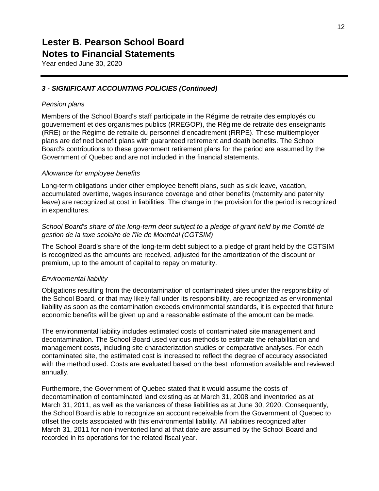Year ended June 30, 2020

### *3 - SIGNIFICANT ACCOUNTING POLICIES (Continued)*

#### *Pension plans*

Members of the School Board's staff participate in the Régime de retraite des employés du gouvernement et des organismes publics (RREGOP), the Régime de retraite des enseignants (RRE) or the Régime de retraite du personnel d'encadrement (RRPE). These multiemployer plans are defined benefit plans with guaranteed retirement and death benefits. The School Board's contributions to these government retirement plans for the period are assumed by the Government of Quebec and are not included in the financial statements.

#### *Allowance for employee benefits*

Long-term obligations under other employee benefit plans, such as sick leave, vacation, accumulated overtime, wages insurance coverage and other benefits (maternity and paternity leave) are recognized at cost in liabilities. The change in the provision for the period is recognized in expenditures.

### *School Board's share of the long-term debt subject to a pledge of grant held by the Comité de gestion de la taxe scolaire de l'île de Montréal (CGTSIM)*

The School Board's share of the long-term debt subject to a pledge of grant held by the CGTSIM is recognized as the amounts are received, adjusted for the amortization of the discount or premium, up to the amount of capital to repay on maturity.

### *Environmental liability*

Obligations resulting from the decontamination of contaminated sites under the responsibility of the School Board, or that may likely fall under its responsibility, are recognized as environmental liability as soon as the contamination exceeds environmental standards, it is expected that future economic benefits will be given up and a reasonable estimate of the amount can be made.

The environmental liability includes estimated costs of contaminated site management and decontamination. The School Board used various methods to estimate the rehabilitation and management costs, including site characterization studies or comparative analyses. For each contaminated site, the estimated cost is increased to reflect the degree of accuracy associated with the method used. Costs are evaluated based on the best information available and reviewed annually.

Furthermore, the Government of Quebec stated that it would assume the costs of decontamination of contaminated land existing as at March 31, 2008 and inventoried as at March 31, 2011, as well as the variances of these liabilities as at June 30, 2020. Consequently, the School Board is able to recognize an account receivable from the Government of Quebec to offset the costs associated with this environmental liability. All liabilities recognized after March 31, 2011 for non-inventoried land at that date are assumed by the School Board and recorded in its operations for the related fiscal year.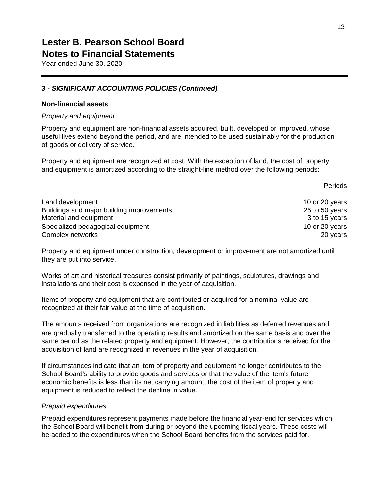Year ended June 30, 2020

### *3 - SIGNIFICANT ACCOUNTING POLICIES (Continued)*

### **Non-financial assets**

### *Property and equipment*

Property and equipment are non-financial assets acquired, built, developed or improved, whose useful lives extend beyond the period, and are intended to be used sustainably for the production of goods or delivery of service.

Property and equipment are recognized at cost. With the exception of land, the cost of property and equipment is amortized according to the straight-line method over the following periods:

| Land development                          | 10 or 20 years |
|-------------------------------------------|----------------|
| Buildings and major building improvements | 25 to 50 years |
| Material and equipment                    | 3 to 15 years  |
| Specialized pedagogical equipment         | 10 or 20 years |
| Complex networks                          | 20 years       |

Property and equipment under construction, development or improvement are not amortized until they are put into service.

Works of art and historical treasures consist primarily of paintings, sculptures, drawings and installations and their cost is expensed in the year of acquisition.

Items of property and equipment that are contributed or acquired for a nominal value are recognized at their fair value at the time of acquisition.

The amounts received from organizations are recognized in liabilities as deferred revenues and are gradually transferred to the operating results and amortized on the same basis and over the same period as the related property and equipment. However, the contributions received for the acquisition of land are recognized in revenues in the year of acquisition.

If circumstances indicate that an item of property and equipment no longer contributes to the School Board's ability to provide goods and services or that the value of the item's future economic benefits is less than its net carrying amount, the cost of the item of property and equipment is reduced to reflect the decline in value.

### *Prepaid expenditures*

Prepaid expenditures represent payments made before the financial year-end for services which the School Board will benefit from during or beyond the upcoming fiscal years. These costs will be added to the expenditures when the School Board benefits from the services paid for.

Periods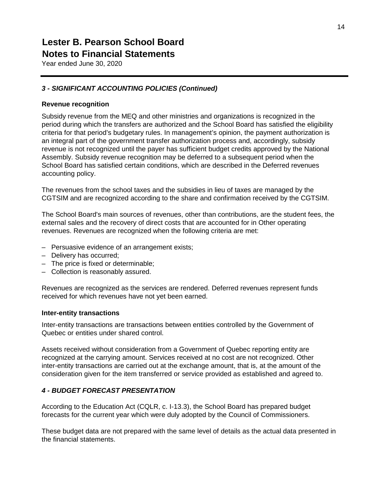Year ended June 30, 2020

## *3 - SIGNIFICANT ACCOUNTING POLICIES (Continued)*

### **Revenue recognition**

Subsidy revenue from the MEQ and other ministries and organizations is recognized in the period during which the transfers are authorized and the School Board has satisfied the eligibility criteria for that period's budgetary rules. In management's opinion, the payment authorization is an integral part of the government transfer authorization process and, accordingly, subsidy revenue is not recognized until the payer has sufficient budget credits approved by the National Assembly. Subsidy revenue recognition may be deferred to a subsequent period when the School Board has satisfied certain conditions, which are described in the Deferred revenues accounting policy.

The revenues from the school taxes and the subsidies in lieu of taxes are managed by the CGTSIM and are recognized according to the share and confirmation received by the CGTSIM.

The School Board's main sources of revenues, other than contributions, are the student fees, the external sales and the recovery of direct costs that are accounted for in Other operating revenues. Revenues are recognized when the following criteria are met:

- Persuasive evidence of an arrangement exists;
- Delivery has occurred;
- The price is fixed or determinable;
- Collection is reasonably assured.

Revenues are recognized as the services are rendered. Deferred revenues represent funds received for which revenues have not yet been earned.

#### **Inter-entity transactions**

Inter-entity transactions are transactions between entities controlled by the Government of Quebec or entities under shared control.

Assets received without consideration from a Government of Quebec reporting entity are recognized at the carrying amount. Services received at no cost are not recognized. Other inter-entity transactions are carried out at the exchange amount, that is, at the amount of the consideration given for the item transferred or service provided as established and agreed to.

### *4 - BUDGET FORECAST PRESENTATION*

According to the Education Act (CQLR, c. I-13.3), the School Board has prepared budget forecasts for the current year which were duly adopted by the Council of Commissioners.

These budget data are not prepared with the same level of details as the actual data presented in the financial statements.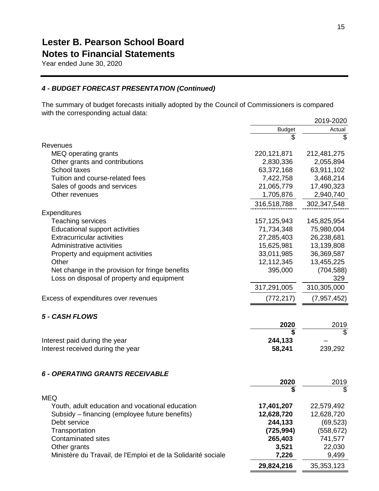Year ended June 30, 2020

## *4 - BUDGET FORECAST PRESENTATION (Continued)*

The summary of budget forecasts initially adopted by the Council of Commissioners is compared with the corresponding actual data: 2019-2020

|                                                               |               | 2019-2020             |
|---------------------------------------------------------------|---------------|-----------------------|
|                                                               | <b>Budget</b> | Actual                |
|                                                               | \$            | \$                    |
| Revenues                                                      |               |                       |
| MEQ operating grants                                          | 220, 121, 871 | 212,481,275           |
| Other grants and contributions                                | 2,830,336     | 2,055,894             |
| School taxes                                                  | 63,372,168    | 63,911,102            |
| Tuition and course-related fees                               | 7,422,758     | 3,468,214             |
| Sales of goods and services                                   | 21,065,779    | 17,490,323            |
| Other revenues                                                | 1,705,876     | 2,940,740             |
|                                                               | 316,518,788   | 302,347,548           |
| <b>Expenditures</b>                                           |               |                       |
| Teaching services                                             | 157, 125, 943 | 145,825,954           |
| Educational support activities                                | 71,734,348    | 75,980,004            |
| <b>Extracurricular activities</b>                             | 27,285,403    | 26,238,681            |
| Administrative activities                                     | 15,625,981    | 13,139,808            |
| Property and equipment activities                             | 33,011,985    | 36,369,587            |
| Other                                                         | 12,112,345    | 13,455,225            |
| Net change in the provision for fringe benefits               | 395,000       | (704, 588)            |
| Loss on disposal of property and equipment                    |               | 329                   |
|                                                               | 317,291,005   | 310,305,000           |
| Excess of expenditures over revenues                          | (772, 217)    | (7, 957, 452)         |
|                                                               |               |                       |
| 5 - CASH FLOWS                                                |               |                       |
|                                                               | 2020          | 2019                  |
|                                                               |               | S.                    |
| Interest paid during the year                                 | 244,133       |                       |
| Interest received during the year                             | 58,241        | 239,292               |
|                                                               |               |                       |
| <b>6 - OPERATING GRANTS RECEIVABLE</b>                        |               |                       |
|                                                               | 2020          | 2019                  |
|                                                               | \$            | \$                    |
| <b>MEQ</b><br>Youth, adult education and vocational education | 17,401,207    | 22,579,492            |
| Subsidy – financing (employee future benefits)                | 12,628,720    | 12,628,720            |
| Debt service                                                  | 244,133       | (69, 523)             |
| Transportation                                                | (725, 994)    |                       |
| <b>Contaminated sites</b>                                     | 265,403       | (558, 672)<br>741,577 |
| Other grants                                                  | 3,521         | 22,030                |
| Ministère du Travail, de l'Emploi et de la Solidarité sociale | 7,226         | 9,499                 |
|                                                               | 29,824,216    | 35, 353, 123          |
|                                                               |               |                       |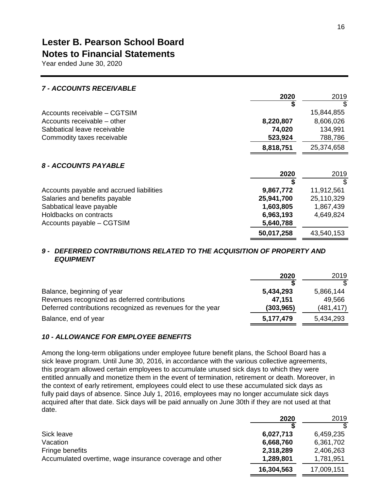Year ended June 30, 2020

| <b>7 - ACCOUNTS RECEIVABLE</b>           |            |            |
|------------------------------------------|------------|------------|
|                                          | 2020       | 2019       |
|                                          |            | \$         |
| Accounts receivable - CGTSIM             |            | 15,844,855 |
| Accounts receivable – other              | 8,220,807  | 8,606,026  |
| Sabbatical leave receivable              | 74,020     | 134,991    |
| Commodity taxes receivable               | 523,924    | 788,786    |
|                                          | 8,818,751  | 25,374,658 |
| 8 - ACCOUNTS PAYABLE                     |            |            |
|                                          | 2020       | 2019       |
|                                          |            | \$         |
| Accounts payable and accrued liabilities | 9,867,772  | 11,912,561 |
| Salaries and benefits payable            | 25,941,700 | 25,110,329 |
| Sabbatical leave payable                 | 1,603,805  | 1,867,439  |
| Holdbacks on contracts                   | 6,963,193  | 4,649,824  |
| Accounts payable - CGTSIM                | 5,640,788  |            |
|                                          | 50,017,258 | 43,540,153 |

### *9 - DEFERRED CONTRIBUTIONS RELATED TO THE ACQUISITION OF PROPERTY AND EQUIPMENT*

|                                                            | 2020       | 2019       |
|------------------------------------------------------------|------------|------------|
|                                                            |            |            |
| Balance, beginning of year                                 | 5,434,293  | 5,866,144  |
| Revenues recognized as deferred contributions              | 47,151     | 49,566     |
| Deferred contributions recognized as revenues for the year | (303, 965) | (481, 417) |
| Balance, end of year                                       | 5,177,479  | 5,434,293  |
|                                                            |            |            |

### *10 - ALLOWANCE FOR EMPLOYEE BENEFITS*

Among the long-term obligations under employee future benefit plans, the School Board has a sick leave program. Until June 30, 2016, in accordance with the various collective agreements, this program allowed certain employees to accumulate unused sick days to which they were entitled annually and monetize them in the event of termination, retirement or death. Moreover, in the context of early retirement, employees could elect to use these accumulated sick days as fully paid days of absence. Since July 1, 2016, employees may no longer accumulate sick days acquired after that date. Sick days will be paid annually on June 30th if they are not used at that date.

|                                                         | 2020       | 2019       |
|---------------------------------------------------------|------------|------------|
|                                                         |            |            |
| Sick leave                                              | 6,027,713  | 6,459,235  |
| Vacation                                                | 6,668,760  | 6,361,702  |
| Fringe benefits                                         | 2,318,289  | 2,406,263  |
| Accumulated overtime, wage insurance coverage and other | 1,289,801  | 1,781,951  |
|                                                         | 16,304,563 | 17,009,151 |

. .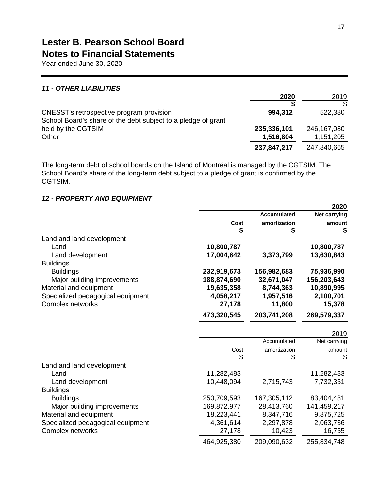Year ended June 30, 2020

### *11 - OTHER LIABILITIES*

|                                                               | 2020        | 2019          |
|---------------------------------------------------------------|-------------|---------------|
|                                                               |             |               |
| CNESST's retrospective program provision                      | 994,312     | 522,380       |
| School Board's share of the debt subject to a pledge of grant |             |               |
| held by the CGTSIM                                            | 235,336,101 | 246, 167, 080 |
| Other                                                         | 1,516,804   | 1,151,205     |
|                                                               | 237,847,217 | 247,840,665   |

The long-term debt of school boards on the Island of Montréal is managed by the CGTSIM. The School Board's share of the long-term debt subject to a pledge of grant is confirmed by the CGTSIM.

### *12 - PROPERTY AND EQUIPMENT*

|                                   |             |                    | 2020                |
|-----------------------------------|-------------|--------------------|---------------------|
|                                   |             | <b>Accumulated</b> | <b>Net carrying</b> |
|                                   | Cost        | amortization       | amount              |
|                                   | \$          | \$                 | \$                  |
| Land and land development         |             |                    |                     |
| Land                              | 10,800,787  |                    | 10,800,787          |
| Land development                  | 17,004,642  | 3,373,799          | 13,630,843          |
| <b>Buildings</b>                  |             |                    |                     |
| <b>Buildings</b>                  | 232,919,673 | 156,982,683        | 75,936,990          |
| Major building improvements       | 188,874,690 | 32,671,047         | 156,203,643         |
| Material and equipment            | 19,635,358  | 8,744,363          | 10,890,995          |
| Specialized pedagogical equipment | 4,058,217   | 1,957,516          | 2,100,701           |
| Complex networks                  | 27,178      | 11,800             | 15,378              |
|                                   | 473,320,545 | 203,741,208        | 269,579,337         |
|                                   |             |                    | 2019                |
|                                   |             | Accumulated        | Net carrying        |
|                                   | Cost        | amortization       | amount              |
|                                   | \$          | \$                 | \$                  |
| Land and land development         |             |                    |                     |
| Land                              | 11,282,483  |                    | 11,282,483          |
| Land development                  | 10,448,094  | 2,715,743          | 7,732,351           |
| <b>Buildings</b>                  |             |                    |                     |
| <b>Buildings</b>                  | 250,709,593 | 167,305,112        | 83,404,481          |
| Major building improvements       | 169,872,977 | 28,413,760         | 141,459,217         |
| Material and equipment            | 18,223,441  | 8,347,716          | 9,875,725           |
| Specialized pedagogical equipment | 4,361,614   | 2,297,878          | 2,063,736           |
| Complex networks                  | 27,178      | 10,423             | 16,755              |
|                                   | 464,925,380 | 209,090,632        | 255,834,748         |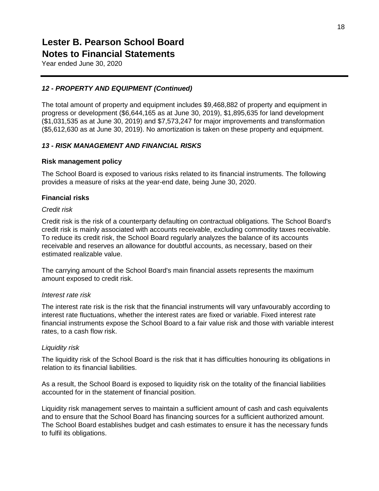Year ended June 30, 2020

### *12 - PROPERTY AND EQUIPMENT (Continued)*

The total amount of property and equipment includes \$9,468,882 of property and equipment in progress or development (\$6,644,165 as at June 30, 2019), \$1,895,635 for land development (\$1,031,535 as at June 30, 2019) and \$7,573,247 for major improvements and transformation (\$5,612,630 as at June 30, 2019). No amortization is taken on these property and equipment.

### *13 - RISK MANAGEMENT AND FINANCIAL RISKS*

#### **Risk management policy**

The School Board is exposed to various risks related to its financial instruments. The following provides a measure of risks at the year-end date, being June 30, 2020.

### **Financial risks**

#### *Credit risk*

Credit risk is the risk of a counterparty defaulting on contractual obligations. The School Board's credit risk is mainly associated with accounts receivable, excluding commodity taxes receivable. To reduce its credit risk, the School Board regularly analyzes the balance of its accounts receivable and reserves an allowance for doubtful accounts, as necessary, based on their estimated realizable value.

The carrying amount of the School Board's main financial assets represents the maximum amount exposed to credit risk.

#### *Interest rate risk*

The interest rate risk is the risk that the financial instruments will vary unfavourably according to interest rate fluctuations, whether the interest rates are fixed or variable. Fixed interest rate financial instruments expose the School Board to a fair value risk and those with variable interest rates, to a cash flow risk.

#### *Liquidity risk*

The liquidity risk of the School Board is the risk that it has difficulties honouring its obligations in relation to its financial liabilities.

As a result, the School Board is exposed to liquidity risk on the totality of the financial liabilities accounted for in the statement of financial position.

Liquidity risk management serves to maintain a sufficient amount of cash and cash equivalents and to ensure that the School Board has financing sources for a sufficient authorized amount. The School Board establishes budget and cash estimates to ensure it has the necessary funds to fulfil its obligations.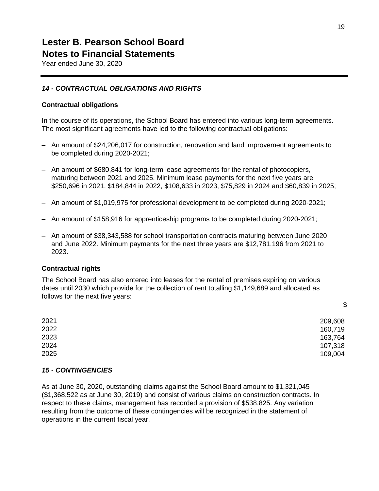Year ended June 30, 2020

### *14 - CONTRACTUAL OBLIGATIONS AND RIGHTS*

#### **Contractual obligations**

In the course of its operations, the School Board has entered into various long-term agreements. The most significant agreements have led to the following contractual obligations:

- An amount of \$24,206,017 for construction, renovation and land improvement agreements to be completed during 2020-2021;
- An amount of \$680,841 for long-term lease agreements for the rental of photocopiers, maturing between 2021 and 2025. Minimum lease payments for the next five years are \$250,696 in 2021, \$184,844 in 2022, \$108,633 in 2023, \$75,829 in 2024 and \$60,839 in 2025;
- An amount of \$1,019,975 for professional development to be completed during 2020-2021;
- An amount of \$158,916 for apprenticeship programs to be completed during 2020-2021;
- An amount of \$38,343,588 for school transportation contracts maturing between June 2020 and June 2022. Minimum payments for the next three years are \$12,781,196 from 2021 to 2023.

#### **Contractual rights**

The School Board has also entered into leases for the rental of premises expiring on various dates until 2030 which provide for the collection of rent totalling \$1,149,689 and allocated as follows for the next five years:

| 209,608 |
|---------|
| 160,719 |
| 163,764 |
| 107,318 |
| 109,004 |
|         |

#### *15 - CONTINGENCIES*

As at June 30, 2020, outstanding claims against the School Board amount to \$1,321,045 (\$1,368,522 as at June 30, 2019) and consist of various claims on construction contracts. In respect to these claims, management has recorded a provision of \$538,825. Any variation resulting from the outcome of these contingencies will be recognized in the statement of operations in the current fiscal year.

\$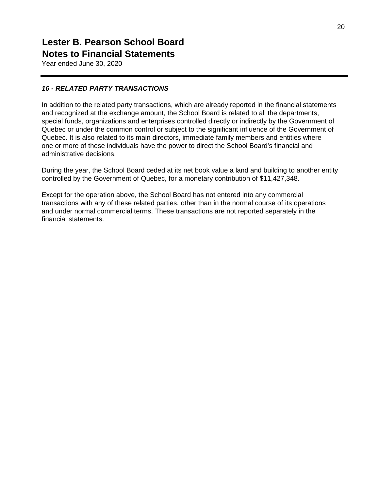Year ended June 30, 2020

## *16 - RELATED PARTY TRANSACTIONS*

In addition to the related party transactions, which are already reported in the financial statements and recognized at the exchange amount, the School Board is related to all the departments, special funds, organizations and enterprises controlled directly or indirectly by the Government of Quebec or under the common control or subject to the significant influence of the Government of Quebec. It is also related to its main directors, immediate family members and entities where one or more of these individuals have the power to direct the School Board's financial and administrative decisions.

During the year, the School Board ceded at its net book value a land and building to another entity controlled by the Government of Quebec, for a monetary contribution of \$11,427,348.

Except for the operation above, the School Board has not entered into any commercial transactions with any of these related parties, other than in the normal course of its operations and under normal commercial terms. These transactions are not reported separately in the financial statements.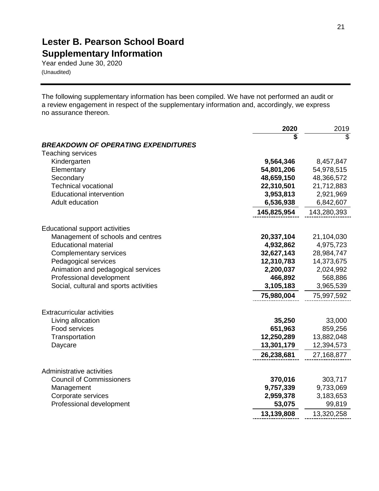# **Lester B. Pearson School Board Supplementary Information**

Year ended June 30, 2020 (Unaudited)

The following supplementary information has been compiled. We have not performed an audit or a review engagement in respect of the supplementary information and, accordingly, we express no assurance thereon.

|                                            | 2020        | 2019                    |
|--------------------------------------------|-------------|-------------------------|
|                                            |             | $\overline{\mathbb{S}}$ |
| <b>BREAKDOWN OF OPERATING EXPENDITURES</b> |             |                         |
| <b>Teaching services</b>                   |             |                         |
| Kindergarten                               | 9,564,346   | 8,457,847               |
| Elementary                                 | 54,801,206  | 54,978,515              |
| Secondary                                  | 48,659,150  | 48,366,572              |
| <b>Technical vocational</b>                | 22,310,501  | 21,712,883              |
| <b>Educational intervention</b>            | 3,953,813   | 2,921,969               |
| Adult education                            | 6,536,938   | 6,842,607               |
|                                            | 145,825,954 | 143,280,393             |
| Educational support activities             |             |                         |
| Management of schools and centres          | 20,337,104  | 21,104,030              |
| <b>Educational material</b>                | 4,932,862   | 4,975,723               |
| <b>Complementary services</b>              | 32,627,143  | 28,984,747              |
| Pedagogical services                       | 12,310,783  | 14,373,675              |
| Animation and pedagogical services         | 2,200,037   | 2,024,992               |
| Professional development                   | 466,892     | 568,886                 |
| Social, cultural and sports activities     | 3,105,183   | 3,965,539               |
|                                            | 75,980,004  | 75,997,592              |
| <b>Extracurricular activities</b>          |             |                         |
| Living allocation                          | 35,250      | 33,000                  |
| Food services                              | 651,963     | 859,256                 |
| Transportation                             | 12,250,289  | 13,882,048              |
| Daycare                                    | 13,301,179  | 12,394,573              |
|                                            | 26,238,681  | 27,168,877              |
|                                            |             |                         |
| Administrative activities                  |             |                         |
| <b>Council of Commissioners</b>            | 370,016     | 303,717                 |
| Management                                 | 9,757,339   | 9,733,069               |
| Corporate services                         | 2,959,378   | 3,183,653               |
| Professional development                   | 53,075      | 99,819                  |
|                                            | 13,139,808  | 13,320,258              |